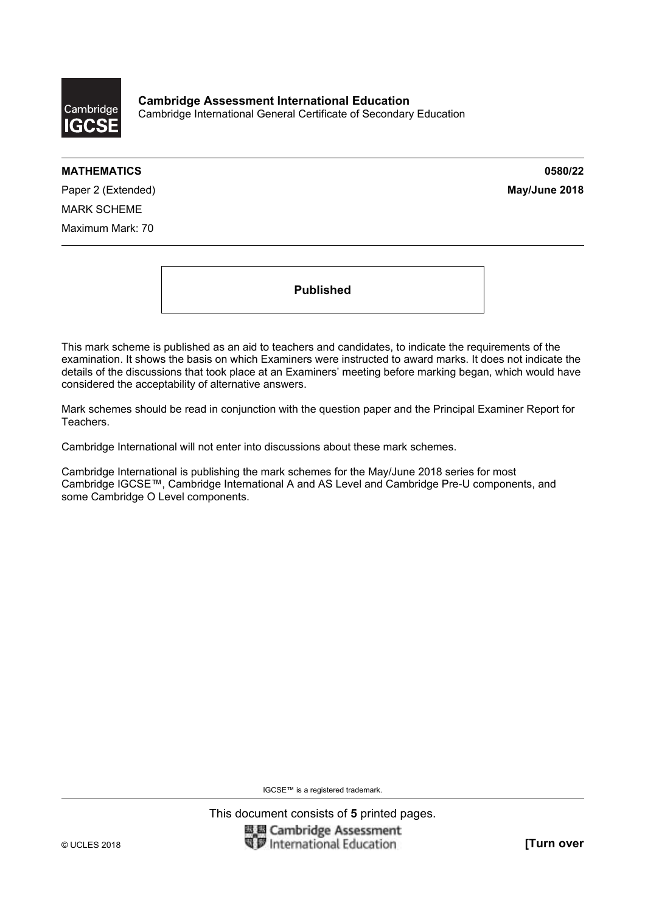

**Cambridge Assessment International Education**  Cambridge International General Certificate of Secondary Education

### **MATHEMATICS 0580/22**

Paper 2 (Extended) **May/June 2018** MARK SCHEME Maximum Mark: 70

**Published** 

This mark scheme is published as an aid to teachers and candidates, to indicate the requirements of the examination. It shows the basis on which Examiners were instructed to award marks. It does not indicate the details of the discussions that took place at an Examiners' meeting before marking began, which would have considered the acceptability of alternative answers.

Mark schemes should be read in conjunction with the question paper and the Principal Examiner Report for Teachers.

Cambridge International will not enter into discussions about these mark schemes.

Cambridge International is publishing the mark schemes for the May/June 2018 series for most Cambridge IGCSE™, Cambridge International A and AS Level and Cambridge Pre-U components, and some Cambridge O Level components.

IGCSE™ is a registered trademark.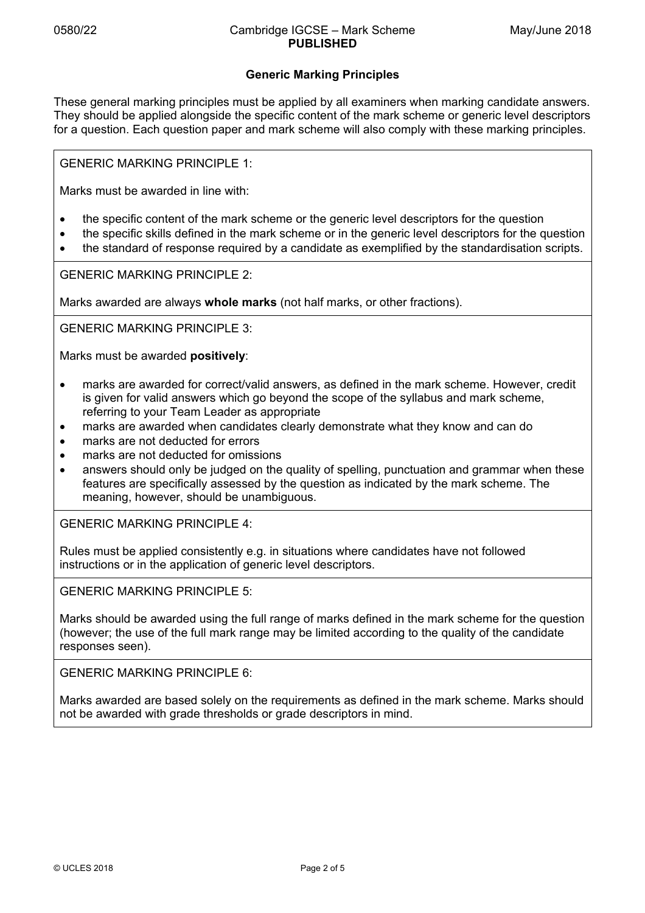# **Generic Marking Principles**

These general marking principles must be applied by all examiners when marking candidate answers. They should be applied alongside the specific content of the mark scheme or generic level descriptors for a question. Each question paper and mark scheme will also comply with these marking principles.

GENERIC MARKING PRINCIPLE 1:

Marks must be awarded in line with:

- the specific content of the mark scheme or the generic level descriptors for the question
- the specific skills defined in the mark scheme or in the generic level descriptors for the question
- the standard of response required by a candidate as exemplified by the standardisation scripts.

GENERIC MARKING PRINCIPLE 2:

Marks awarded are always **whole marks** (not half marks, or other fractions).

GENERIC MARKING PRINCIPLE 3:

Marks must be awarded **positively**:

- marks are awarded for correct/valid answers, as defined in the mark scheme. However, credit is given for valid answers which go beyond the scope of the syllabus and mark scheme, referring to your Team Leader as appropriate
- marks are awarded when candidates clearly demonstrate what they know and can do
- marks are not deducted for errors
- marks are not deducted for omissions
- answers should only be judged on the quality of spelling, punctuation and grammar when these features are specifically assessed by the question as indicated by the mark scheme. The meaning, however, should be unambiguous.

GENERIC MARKING PRINCIPLE 4:

Rules must be applied consistently e.g. in situations where candidates have not followed instructions or in the application of generic level descriptors.

GENERIC MARKING PRINCIPLE 5:

Marks should be awarded using the full range of marks defined in the mark scheme for the question (however; the use of the full mark range may be limited according to the quality of the candidate responses seen).

GENERIC MARKING PRINCIPLE 6:

Marks awarded are based solely on the requirements as defined in the mark scheme. Marks should not be awarded with grade thresholds or grade descriptors in mind.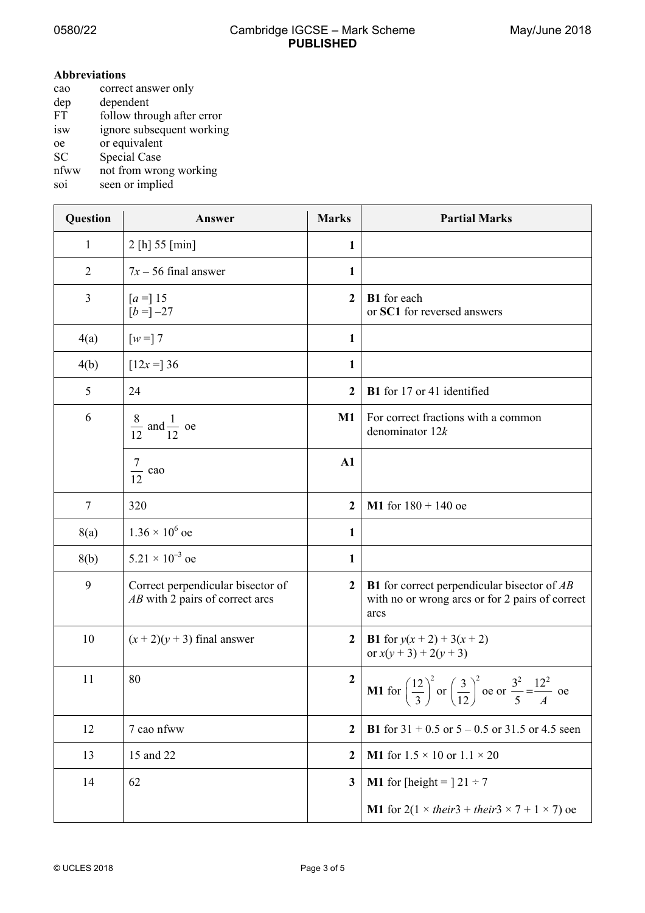### 0580/22 Cambridge IGCSE – Mark Scheme **PUBLISHED**

#### **Abbreviations**

| cao       | correct answer only        |
|-----------|----------------------------|
| dep       | dependent                  |
| FT        | follow through after error |
| isw       | ignore subsequent working  |
| oe        | or equivalent              |
| <b>SC</b> | <b>Special Case</b>        |
| nfww      | not from wrong working     |
| soi       | seen or implied            |

**Question Answer Marks Partial Marks** Partial Marks 1 2 [h] 55 [min] **1** 2  $7x - 56$  final answer 1 3  $[a =] 15$  $[b = ] -27$ **2 B1** for each or **SC1** for reversed answers  $4(a)$   $\begin{bmatrix} w = 7 \end{bmatrix}$  1  $4(b)$   $\begin{bmatrix} 12x = 36 \end{bmatrix}$  1 5 24 **2 B1** for 17 or 41 identified  $\begin{array}{|c|c|c|}\n\hline\n6 & 8 \text{ and } \frac{1}{\sqrt{2}}\n\end{array}$  $12$  12 oe **M1** For correct fractions with a common denominator 12*k* 7 12 cao **A1** 7 320 **2 M1** for 180 + 140 oe 8(a) 1.36  $\times$  10<sup>6</sup> oe oe **1** 8(b)  $5.21 \times 10^{-3}$  oe oe **1** 9 Correct perpendicular bisector of *AB* with 2 pairs of correct arcs **2 B1** for correct perpendicular bisector of *AB* with no or wrong arcs or for 2 pairs of correct arcs 10  $(x+2)(y+3)$  final answer **2 B1** for  $y(x+2)+3(x+2)$ or  $x(y + 3) + 2(y + 3)$ 11 80 **2 M1** for  $\left(\frac{12}{2}\right)^2$  $\left(\frac{12}{3}\right)^2$  or  $\left(\frac{3}{12}\right)^2$  $\left(\frac{3}{12}\right)^2$  oe or  $\frac{3^2}{5} = \frac{12^2}{A}$  $\frac{12}{5} = \frac{12}{A}$  oe 12 7 cao nfww **2 B1** for 31 + 0.5 or 5 – 0.5 or 31.5 or 4.5 seen 13 13 15 and 22 2  $\blacksquare$  15 and 22 2  $\blacksquare$ 14  $\begin{array}{|c|c|c|c|c|c|} \hline 1 & 3 & \text{M1} & \text{for} & \text{theight} = \frac{1}{21} \end{array}$ **M1** for  $2(1 \times \text{their3} + \text{their3} \times 7 + 1 \times 7)$  oe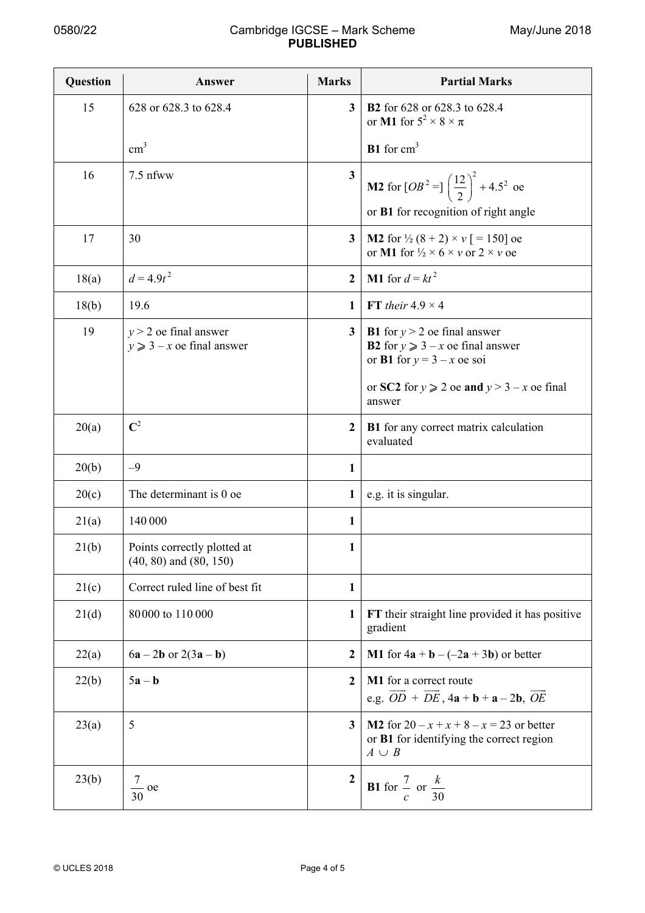## 0580/22 Cambridge IGCSE – Mark Scheme **PUBLISHED**

| Question | Answer                                                    | <b>Marks</b>            | <b>Partial Marks</b>                                                                                                        |
|----------|-----------------------------------------------------------|-------------------------|-----------------------------------------------------------------------------------------------------------------------------|
| 15       | 628 or 628.3 to 628.4                                     | 3                       | <b>B2</b> for 628 or 628.3 to 628.4<br>or M1 for $5^2 \times 8 \times \pi$                                                  |
|          | $\text{cm}^3$                                             |                         | $B1$ for $cm3$                                                                                                              |
| 16       | $7.5$ nfww                                                | $\overline{\mathbf{3}}$ | <b>M2</b> for $[OB^2 = ]\left(\frac{12}{2}\right)^2 + 4.5^2$ oe                                                             |
|          |                                                           |                         | or B1 for recognition of right angle                                                                                        |
| 17       | 30                                                        | $\mathbf{3}$            | <b>M2</b> for $\frac{1}{2}$ (8 + 2) $\times$ v [ = 150] oe<br>or M1 for $\frac{1}{2} \times 6 \times v$ or $2 \times v$ oe  |
| 18(a)    | $d = 4.9t^2$                                              | $\overline{2}$          | <b>M1</b> for $d = kt^2$                                                                                                    |
| 18(b)    | 19.6                                                      | 1                       | FT their $4.9 \times 4$                                                                                                     |
| 19       | $y > 2$ oe final answer<br>$y \ge 3 - x$ oe final answer  | 3                       | <b>B1</b> for $y > 2$ oe final answer<br><b>B2</b> for $y \ge 3 - x$ oe final answer<br>or <b>B1</b> for $y = 3 - x$ oe soi |
|          |                                                           |                         | or SC2 for $y \ge 2$ oe and $y > 3 - x$ oe final<br>answer                                                                  |
| 20(a)    | $\mathbf{C}^2$                                            | $\mathbf{2}$            | <b>B1</b> for any correct matrix calculation<br>evaluated                                                                   |
| 20(b)    | $-9$                                                      | 1                       |                                                                                                                             |
| 20(c)    | The determinant is 0 oe                                   | 1                       | e.g. it is singular.                                                                                                        |
| 21(a)    | 140 000                                                   | 1                       |                                                                                                                             |
| 21(b)    | Points correctly plotted at<br>$(40, 80)$ and $(80, 150)$ | $\mathbf{1}$            |                                                                                                                             |
| 21(c)    | Correct ruled line of best fit                            | $\mathbf{1}$            |                                                                                                                             |
| 21(d)    | 80000 to 110000                                           | 1                       | FT their straight line provided it has positive<br>gradient                                                                 |
| 22(a)    | $6a - 2b$ or $2(3a - b)$                                  | $\mathbf{2}$            | <b>M1</b> for $4a + b - (-2a + 3b)$ or better                                                                               |
| 22(b)    | $5a - b$                                                  | $\boldsymbol{2}$        | M1 for a correct route<br>e.g. $\overrightarrow{OD} + \overrightarrow{DE}$ , $4a + b + a - 2b$ , $\overrightarrow{OE}$      |
| 23(a)    | 5                                                         | $\overline{\mathbf{3}}$ | <b>M2</b> for $20 - x + x + 8 - x = 23$ or better<br>or B1 for identifying the correct region<br>$A \cup B$                 |
| 23(b)    | 7<br>$\frac{7}{30}$ oe                                    | $\overline{2}$          | <b>B1</b> for $\frac{7}{c}$ or $\frac{k}{30}$                                                                               |